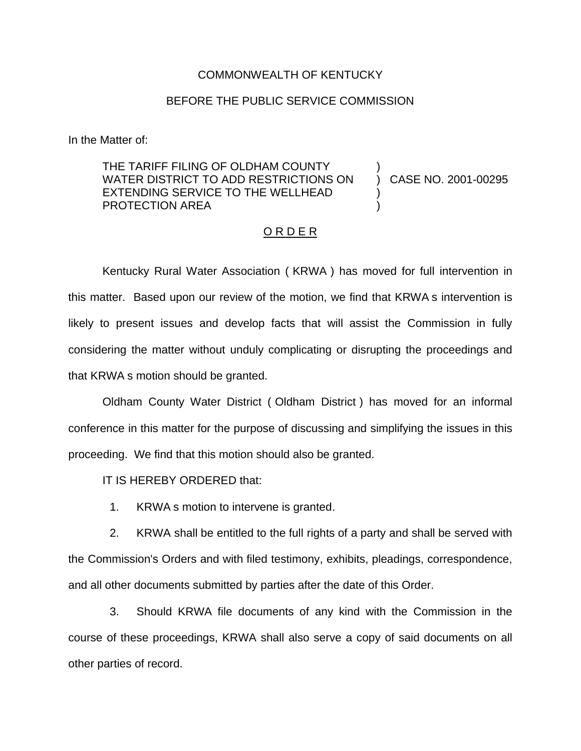## COMMONWEALTH OF KENTUCKY

## BEFORE THE PUBLIC SERVICE COMMISSION

In the Matter of:

THE TARIFF FILING OF OLDHAM COUNTY WATER DISTRICT TO ADD RESTRICTIONS ON EXTENDING SERVICE TO THE WELLHEAD PROTECTION AREA ) ) CASE NO. 2001-00295 ) )

## O R D E R

Kentucky Rural Water Association ( KRWA ) has moved for full intervention in this matter. Based upon our review of the motion, we find that KRWA s intervention is likely to present issues and develop facts that will assist the Commission in fully considering the matter without unduly complicating or disrupting the proceedings and that KRWA s motion should be granted.

Oldham County Water District ( Oldham District ) has moved for an informal conference in this matter for the purpose of discussing and simplifying the issues in this proceeding. We find that this motion should also be granted.

IT IS HEREBY ORDERED that:

1. KRWA s motion to intervene is granted.

2. KRWA shall be entitled to the full rights of a party and shall be served with the Commission's Orders and with filed testimony, exhibits, pleadings, correspondence, and all other documents submitted by parties after the date of this Order.

3. Should KRWA file documents of any kind with the Commission in the course of these proceedings, KRWA shall also serve a copy of said documents on all other parties of record.